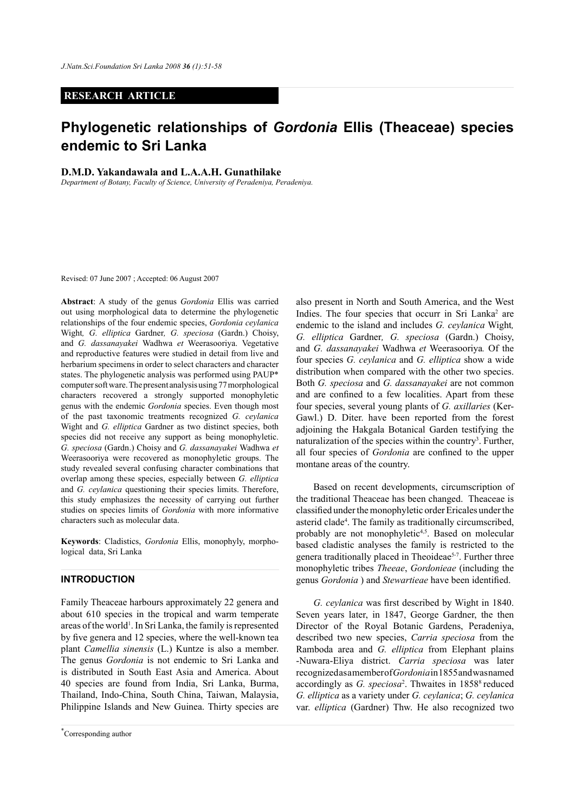## **RESEARCH ARTICLE**

# **Phylogenetic relationships of** *Gordonia* **Ellis (Theaceae) species endemic to Sri Lanka**

### **D.M.D. Yakandawala and L.A.A.H. Gunathilake**

*Department of Botany, Faculty of Science, University of Peradeniya, Peradeniya.*

Revised: 07 June 2007 ; Accepted: 06 August 2007

**Abstract**: A study of the genus *Gordonia* Ellis was carried out using morphological data to determine the phylogenetic relationships of the four endemic species, *Gordonia ceylanica* Wight*, G. elliptica* Gardner*, G. speciosa* (Gardn.) Choisy, and *G. dassanayakei* Wadhwa *et* Weerasooriya. Vegetative and reproductive features were studied in detail from live and herbarium specimens in order to select characters and character states. The phylogenetic analysis was performed using PAUP\* computer soft ware. The present analysis using 77 morphological characters recovered a strongly supported monophyletic genus with the endemic *Gordonia* species. Even though most of the past taxonomic treatments recognized *G. ceylanica* Wight and *G. elliptica* Gardner as two distinct species, both species did not receive any support as being monophyletic. *G. speciosa* (Gardn.) Choisy and *G. dassanayakei* Wadhwa *et*  Weerasooriya were recovered as monophyletic groups. The study revealed several confusing character combinations that overlap among these species, especially between *G. elliptica* and *G. ceylanica* questioning their species limits. Therefore, this study emphasizes the necessity of carrying out further studies on species limits of *Gordonia* with more informative characters such as molecular data.

**Keywords**: Cladistics, *Gordonia* Ellis, monophyly, morphological data, Sri Lanka

### **INTRODUCTION**

Family Theaceae harbours approximately 22 genera and about 610 species in the tropical and warm temperate areas of the world<sup>1</sup>. In Sri Lanka, the family is represented by five genera and 12 species, where the well-known tea plant *Camellia sinensis* (L.) Kuntze is also a member. The genus *Gordonia* is not endemic to Sri Lanka and is distributed in South East Asia and America. About 40 species are found from India, Sri Lanka, Burma, Thailand, Indo-China, South China, Taiwan, Malaysia, Philippine Islands and New Guinea. Thirty species are

also present in North and South America, and the West Indies. The four species that occurr in Sri Lanka<sup>2</sup> are endemic to the island and includes *G. ceylanica* Wight*, G. elliptica* Gardner*, G. speciosa* (Gardn.) Choisy, and *G. dassanayakei* Wadhwa *et* Weerasooriya*.* Of the four species *G. ceylanica* and *G. elliptica* show a wide distribution when compared with the other two species. Both *G. speciosa* and *G. dassanayakei* are not common and are confined to a few localities. Apart from these four species, several young plants of *G. axillaries* (Ker-Gawl.) D. Diter. have been reported from the forest adjoining the Hakgala Botanical Garden testifying the naturalization of the species within the country<sup>3</sup>. Further, all four species of *Gordonia* are confined to the upper montane areas of the country.

Based on recent developments, circumscription of the traditional Theaceae has been changed. Theaceae is classified under the monophyletic order Ericales under the asterid clade4 . The family as traditionally circumscribed, probably are not monophyletic4,5. Based on molecular based cladistic analyses the family is restricted to the genera traditionally placed in Theoideae<sup>5-7</sup>. Further three monophyletic tribes *Theeae*, *Gordonieae* (including the genus *Gordonia* ) and *Stewartieae* have been identified.

*G. ceylanica* was first described by Wight in 1840. Seven years later, in 1847, George Gardner, the then Director of the Royal Botanic Gardens, Peradeniya, described two new species, *Carria speciosa* from the Ramboda area and *G. elliptica* from Elephant plains -Nuwara-Eliya district. *Carria speciosa* was later recognized as a member of *Gordonia* in 1855 and was named accordingly as *G. speciosa*<sup>2</sup>. Thwaites in 1858<sup>8</sup> reduced *G. elliptica* as a variety under *G. ceylanica*; *G. ceylanica* var. *elliptica* (Gardner) Thw. He also recognized two

*Journal of the National Science Foundation of Sri Lanka 36 (1) March 2008* \* Corresponding author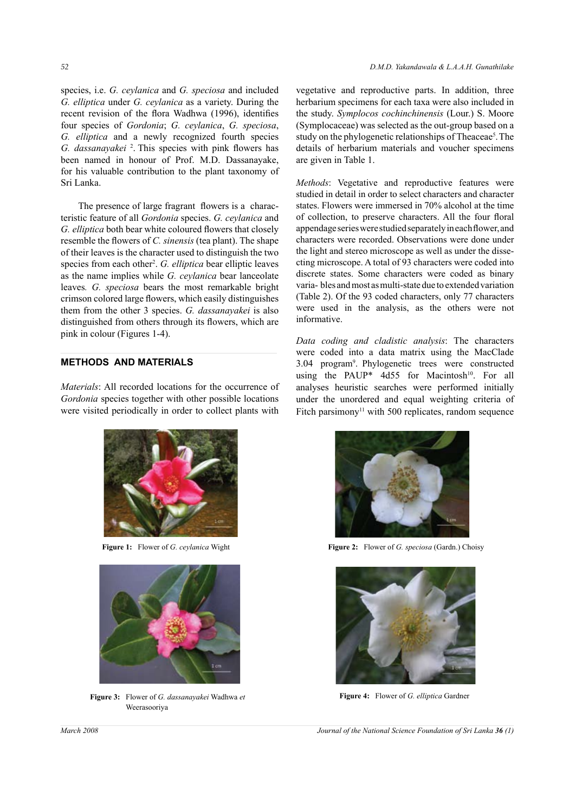species, i.e. *G. ceylanica* and *G. speciosa* and included *G. elliptica* under *G. ceylanica* as a variety. During the recent revision of the flora Wadhwa (1996), identifies four species of *Gordonia*; *G. ceylanica*, *G. speciosa*, *G. elliptica* and a newly recognized fourth species *G. dassanayakei* <sup>2</sup> . This species with pink flowers has been named in honour of Prof. M.D. Dassanayake, for his valuable contribution to the plant taxonomy of Sri Lanka.

The presence of large fragrant flowers is a characteristic feature of all *Gordonia* species. *G. ceylanica* and *G. elliptica* both bear white coloured flowers that closely resemble the flowers of *C. sinensis* (tea plant). The shape of their leaves is the character used to distinguish the two species from each other<sup>2</sup>. G. elliptica bear elliptic leaves as the name implies while *G. ceylanica* bear lanceolate leaves*. G. speciosa* bears the most remarkable bright crimson colored large flowers, which easily distinguishes them from the other 3 species. *G. dassanayakei* is also distinguished from others through its flowers, which are pink in colour (Figures 1-4).

## **METHODS AND MATERIALS**

*Materials*: All recorded locations for the occurrence of *Gordonia* species together with other possible locations were visited periodically in order to collect plants with





**Figure 3:** Flower of *G. dassanayakei* Wadhwa *et*  Weerasooriya

vegetative and reproductive parts. In addition, three herbarium specimens for each taxa were also included in the study. *Symplocos cochinchinensis* (Lour.) S. Moore (Symplocaceae) was selected as the out-group based on a study on the phylogenetic relationships of Theaceae<sup>5</sup>. The details of herbarium materials and voucher specimens are given in Table 1.

*Methods*: Vegetative and reproductive features were studied in detail in order to select characters and character states. Flowers were immersed in 70% alcohol at the time of collection, to preserve characters. All the four floral appendage series were studied separately in each flower, and characters were recorded. Observations were done under the light and stereo microscope as well as under the dissecting microscope. A total of 93 characters were coded into discrete states. Some characters were coded as binary varia- bles and most as multi-state due to extended variation (Table 2). Of the 93 coded characters, only 77 characters were used in the analysis, as the others were not informative.

*Data coding and cladistic analysis*: The characters were coded into a data matrix using the MacClade 3.04 program<sup>9</sup> . Phylogenetic trees were constructed using the PAUP\*  $4d55$  for Macintosh<sup>10</sup>. For all analyses heuristic searches were performed initially under the unordered and equal weighting criteria of Fitch parsimony<sup>11</sup> with 500 replicates, random sequence



**Figure 1:** Flower of *G. ceylanica* Wight **Figure 2:** Flower of *G. speciosa* (Gardn.) Choisy



**Figure 4:** Flower of *G. elliptica* Gardner

*March 2008 Journal of the National Science Foundation of Sri Lanka 36 (1)*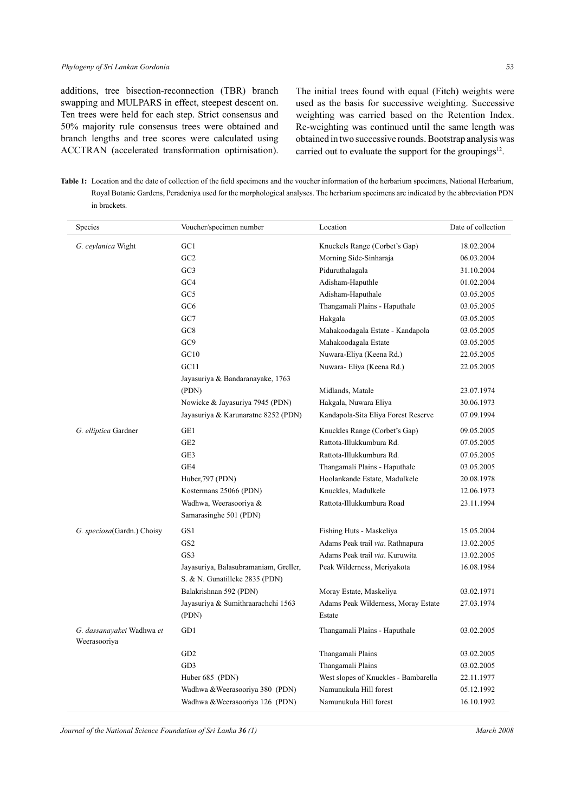additions, tree bisection-reconnection (TBR) branch swapping and MULPARS in effect, steepest descent on. Ten trees were held for each step. Strict consensus and 50% majority rule consensus trees were obtained and branch lengths and tree scores were calculated using ACCTRAN (accelerated transformation optimisation).

The initial trees found with equal (Fitch) weights were used as the basis for successive weighting. Successive weighting was carried based on the Retention Index. Re-weighting was continued until the same length was obtained in two successive rounds. Bootstrap analysis was carried out to evaluate the support for the groupings $12$ .

**Table 1:** Location and the date of collection of the field specimens and the voucher information of the herbarium specimens, National Herbarium, Royal Botanic Gardens, Peradeniya used for the morphological analyses. The herbarium specimens are indicated by the abbreviation PDN in brackets.

| Species                                   | Voucher/specimen number                                                 | Location                             | Date of collection |
|-------------------------------------------|-------------------------------------------------------------------------|--------------------------------------|--------------------|
| G. ceylanica Wight                        | GC1                                                                     | Knuckels Range (Corbet's Gap)        | 18.02.2004         |
|                                           | GC2                                                                     | Morning Side-Sinharaja               | 06.03.2004         |
|                                           | GC3                                                                     | Piduruthalagala                      | 31.10.2004         |
|                                           | GC4                                                                     | Adisham-Haputhle                     | 01.02.2004         |
|                                           | GC5                                                                     | Adisham-Haputhale                    | 03.05.2005         |
|                                           | GC <sub>6</sub>                                                         | Thangamali Plains - Haputhale        | 03.05.2005         |
|                                           | GC7                                                                     | Hakgala                              | 03.05.2005         |
|                                           | GC8                                                                     | Mahakoodagala Estate - Kandapola     | 03.05.2005         |
|                                           | GC9                                                                     | Mahakoodagala Estate                 | 03.05.2005         |
|                                           | GC10                                                                    | Nuwara-Eliya (Keena Rd.)             | 22.05.2005         |
|                                           | GCl1                                                                    | Nuwara- Eliya (Keena Rd.)            | 22.05.2005         |
|                                           | Jayasuriya & Bandaranayake, 1763                                        |                                      |                    |
|                                           | (PDN)                                                                   | Midlands, Matale                     | 23.07.1974         |
|                                           | Nowicke & Jayasuriya 7945 (PDN)                                         | Hakgala, Nuwara Eliya                | 30.06.1973         |
|                                           | Jayasuriya & Karunaratne 8252 (PDN)                                     | Kandapola-Sita Eliya Forest Reserve  | 07.09.1994         |
| G. elliptica Gardner                      | GE1                                                                     | Knuckles Range (Corbet's Gap)        | 09.05.2005         |
|                                           | GE <sub>2</sub>                                                         | Rattota-Illukkumbura Rd.             | 07.05.2005         |
|                                           | GE3                                                                     | Rattota-Illukkumbura Rd.             | 07.05.2005         |
|                                           | GE4                                                                     | Thangamali Plains - Haputhale        | 03.05.2005         |
|                                           | Huber, 797 (PDN)                                                        | Hoolankande Estate, Madulkele        | 20.08.1978         |
|                                           | Kostermans 25066 (PDN)                                                  | Knuckles, Madulkele                  | 12.06.1973         |
|                                           | Wadhwa, Weerasooriya &                                                  | Rattota-Illukkumbura Road            | 23.11.1994         |
|                                           | Samarasinghe 501 (PDN)                                                  |                                      |                    |
| G. speciosa(Gardn.) Choisy                | GS1                                                                     | Fishing Huts - Maskeliya             | 15.05.2004         |
|                                           | GS <sub>2</sub>                                                         | Adams Peak trail via. Rathnapura     | 13.02.2005         |
|                                           | GS3                                                                     | Adams Peak trail via. Kuruwita       | 13.02.2005         |
|                                           | Jayasuriya, Balasubramaniam, Greller,<br>S. & N. Gunatilleke 2835 (PDN) | Peak Wilderness, Meriyakota          | 16.08.1984         |
|                                           | Balakrishnan 592 (PDN)                                                  | Moray Estate, Maskeliya              | 03.02.1971         |
|                                           | Jayasuriya & Sumithraarachchi 1563                                      | Adams Peak Wilderness, Moray Estate  | 27.03.1974         |
|                                           | (PDN)                                                                   | Estate                               |                    |
| G. dassanayakei Wadhwa et<br>Weerasooriya | GD1                                                                     | Thangamali Plains - Haputhale        | 03.02.2005         |
|                                           | GD <sub>2</sub>                                                         | Thangamali Plains                    | 03.02.2005         |
|                                           | GD3                                                                     | Thangamali Plains                    | 03.02.2005         |
|                                           | Huber 685 (PDN)                                                         | West slopes of Knuckles - Bambarella | 22.11.1977         |
|                                           | Wadhwa & Weerasooriya 380 (PDN)                                         | Namunukula Hill forest               | 05.12.1992         |
|                                           | Wadhwa & Weerasooriya 126 (PDN)                                         | Namunukula Hill forest               | 16.10.1992         |

*Journal of the National Science Foundation of Sri Lanka 36 (1) March 2008*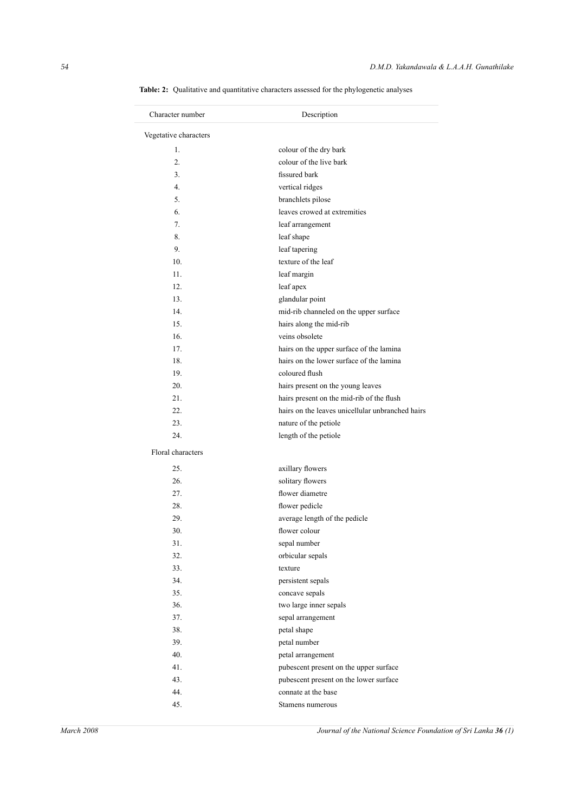| Character number      | Description                                      |
|-----------------------|--------------------------------------------------|
| Vegetative characters |                                                  |
| 1.                    | colour of the dry bark                           |
| 2.                    | colour of the live bark                          |
| 3.                    | fissured bark                                    |
| 4.                    | vertical ridges                                  |
| 5.                    | branchlets pilose                                |
| 6.                    | leaves crowed at extremities                     |
| 7.                    | leaf arrangement                                 |
| 8.                    | leaf shape                                       |
| 9.                    | leaf tapering                                    |
| 10.                   | texture of the leaf                              |
| 11.                   | leaf margin                                      |
| 12.                   | leaf apex                                        |
| 13.                   | glandular point                                  |
| 14.                   | mid-rib channeled on the upper surface           |
| 15.                   | hairs along the mid-rib                          |
| 16.                   | veins obsolete                                   |
| 17.                   | hairs on the upper surface of the lamina         |
| 18.                   | hairs on the lower surface of the lamina         |
| 19.                   | coloured flush                                   |
| 20.                   | hairs present on the young leaves                |
| 21.                   | hairs present on the mid-rib of the flush        |
| 22.                   | hairs on the leaves unicellular unbranched hairs |
| 23.                   | nature of the petiole                            |
| 24.                   | length of the petiole                            |
|                       |                                                  |
| Floral characters     |                                                  |
| 25.                   | axillary flowers                                 |
| 26.                   | solitary flowers                                 |
| 27.                   | flower diametre                                  |
| 28.                   | flower pedicle                                   |
| 29.                   | average length of the pedicle                    |
| 30.                   | flower colour                                    |
| 31.                   | sepal number                                     |
| 32.                   | orbicular sepals                                 |
| 33.                   | texture                                          |
| 34.                   | persistent sepals                                |
| 35.                   | concave sepals                                   |
| 36.                   | two large inner sepals                           |
| 37.                   | sepal arrangement                                |
| 38.                   | petal shape                                      |
| 39.                   | petal number                                     |
| 40.                   | petal arrangement                                |
| 41.                   | pubescent present on the upper surface           |
| 43.                   | pubescent present on the lower surface           |
|                       |                                                  |
| 44.                   | connate at the base                              |

**Table: 2:** Qualitative and quantitative characters assessed for the phylogenetic analyses

*March 2008 Journal of the National Science Foundation of Sri Lanka 36* (1)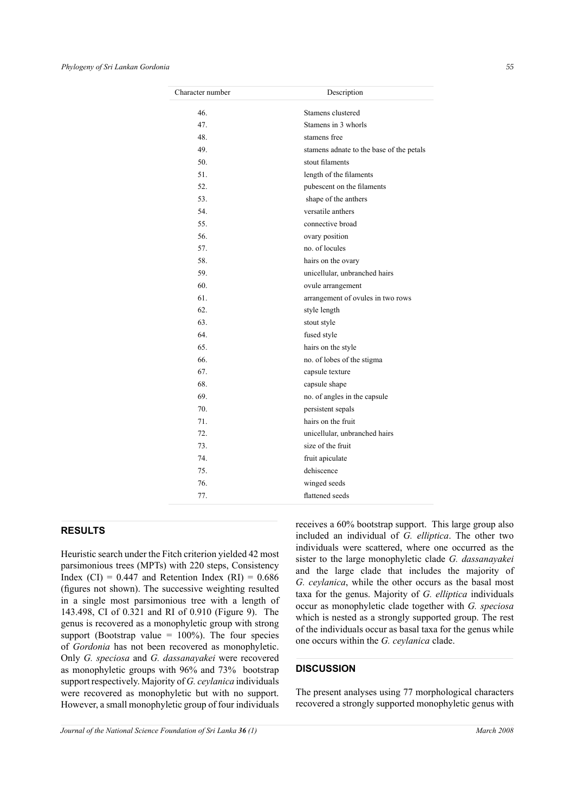| Character number | Description                              |  |
|------------------|------------------------------------------|--|
| 46.              | Stamens clustered                        |  |
| 47.              | Stamens in 3 whorls                      |  |
| 48.              | stamens free                             |  |
| 49.              | stamens adnate to the base of the petals |  |
| 50.              | stout filaments                          |  |
| 51               | length of the filaments                  |  |
| 52.              | pubescent on the filaments               |  |
| 53.              | shape of the anthers                     |  |
| 54.              | versatile anthers                        |  |
| 55.              | connective broad                         |  |
| 56.              | ovary position                           |  |
| 57.              | no. of locules                           |  |
| 58.              | hairs on the ovary                       |  |
| 59.              | unicellular, unbranched hairs            |  |
| 60.              | ovule arrangement                        |  |
| 61.              | arrangement of ovules in two rows        |  |
| 62.              | style length                             |  |
| 63.              | stout style                              |  |
| 64.              | fused style                              |  |
| 65.              | hairs on the style                       |  |
| 66.              | no. of lobes of the stigma               |  |
| 67.              | capsule texture                          |  |
| 68.              | capsule shape                            |  |
| 69.              | no. of angles in the capsule             |  |
| 70.              | persistent sepals                        |  |
| 71.              | hairs on the fruit                       |  |
| 72.              | unicellular, unbranched hairs            |  |
| 73.              | size of the fruit                        |  |
| 74.              | fruit apiculate                          |  |
| 75.              | dehiscence                               |  |
| 76.              | winged seeds                             |  |
| 77.              | flattened seeds                          |  |

### **RESULTS**

Heuristic search under the Fitch criterion yielded 42 most parsimonious trees (MPTs) with 220 steps, Consistency Index (CI) =  $0.447$  and Retention Index (RI) =  $0.686$ (figures not shown). The successive weighting resulted in a single most parsimonious tree with a length of 143.498, CI of 0.321 and RI of 0.910 (Figure 9). The genus is recovered as a monophyletic group with strong support (Bootstrap value  $= 100\%$ ). The four species of *Gordonia* has not been recovered as monophyletic. Only *G. speciosa* and *G. dassanayakei* were recovered as monophyletic groups with 96% and 73% bootstrap support respectively. Majority of *G. ceylanica* individuals were recovered as monophyletic but with no support. However, a small monophyletic group of four individuals receives a 60% bootstrap support. This large group also included an individual of *G. elliptica*. The other two individuals were scattered, where one occurred as the sister to the large monophyletic clade *G. dassanayakei*  and the large clade that includes the majority of *G. ceylanica*, while the other occurs as the basal most taxa for the genus. Majority of *G. elliptica* individuals occur as monophyletic clade together with *G. speciosa* which is nested as a strongly supported group. The rest of the individuals occur as basal taxa for the genus while one occurs within the *G. ceylanica* clade.

### **DISCUSSION**

The present analyses using 77 morphological characters recovered a strongly supported monophyletic genus with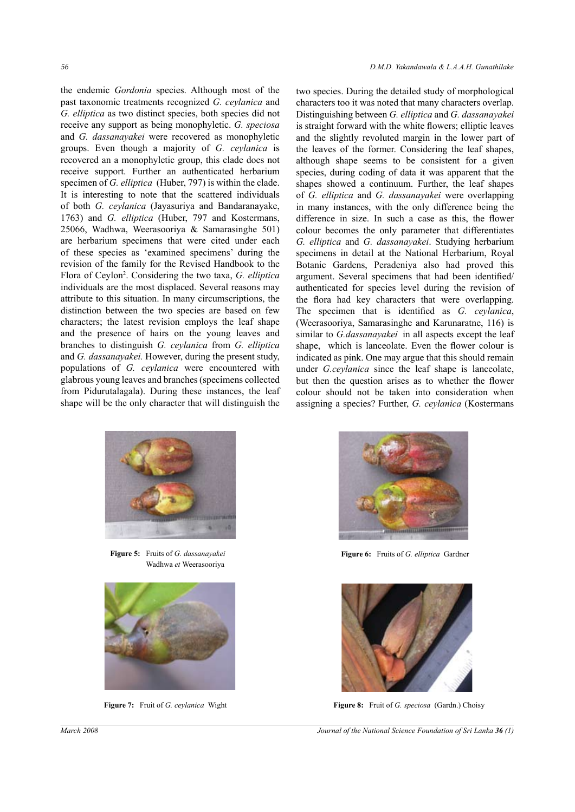the endemic *Gordonia* species. Although most of the past taxonomic treatments recognized *G. ceylanica* and *G. elliptica* as two distinct species, both species did not receive any support as being monophyletic. *G. speciosa* and *G. dassanayakei* were recovered as monophyletic groups. Even though a majority of *G. ceylanica* is recovered an a monophyletic group, this clade does not receive support. Further an authenticated herbarium specimen of *G. elliptica* (Huber, 797) is within the clade. It is interesting to note that the scattered individuals of both *G. ceylanica* (Jayasuriya and Bandaranayake, 1763) and *G. elliptica* (Huber, 797 and Kostermans, 25066, Wadhwa, Weerasooriya & Samarasinghe 501) are herbarium specimens that were cited under each of these species as 'examined specimens' during the revision of the family for the Revised Handbook to the Flora of Ceylon2 . Considering the two taxa, *G. elliptica* individuals are the most displaced. Several reasons may attribute to this situation. In many circumscriptions, the distinction between the two species are based on few characters; the latest revision employs the leaf shape and the presence of hairs on the young leaves and branches to distinguish *G. ceylanica* from *G. elliptica* and *G. dassanayakei.* However, during the present study, populations of *G. ceylanica* were encountered with glabrous young leaves and branches (specimens collected from Pidurutalagala). During these instances, the leaf shape will be the only character that will distinguish the

two species. During the detailed study of morphological characters too it was noted that many characters overlap. Distinguishing between *G. elliptica* and *G. dassanayakei*  is straight forward with the white flowers; elliptic leaves and the slightly revoluted margin in the lower part of the leaves of the former. Considering the leaf shapes, although shape seems to be consistent for a given species, during coding of data it was apparent that the shapes showed a continuum. Further, the leaf shapes of *G. elliptica* and *G. dassanayakei* were overlapping in many instances, with the only difference being the difference in size. In such a case as this, the flower colour becomes the only parameter that differentiates *G. elliptica* and *G. dassanayakei*. Studying herbarium specimens in detail at the National Herbarium, Royal Botanic Gardens, Peradeniya also had proved this argument. Several specimens that had been identified/ authenticated for species level during the revision of the flora had key characters that were overlapping. The specimen that is identified as *G. ceylanica*, (Weerasooriya, Samarasinghe and Karunaratne, 116) is similar to *G.dassanayakei* in all aspects except the leaf shape, which is lanceolate. Even the flower colour is indicated as pink. One may argue that this should remain under *G.ceylanica* since the leaf shape is lanceolate, but then the question arises as to whether the flower colour should not be taken into consideration when assigning a species? Further, *G. ceylanica* (Kostermans



**Figure 5:** Fruits of *G. dassanayakei*  Wadhwa *et* Weerasooriya





**Figure 6:** Fruits of *G. elliptica* Gardner



**Figure 7:** Fruit of *G. ceylanica* Wight **Figure 8:** Fruit of *G. speciosa* (Gardn.) Choisy

*March 2008 Journal of the National Science Foundation of Sri Lanka 36 (1)*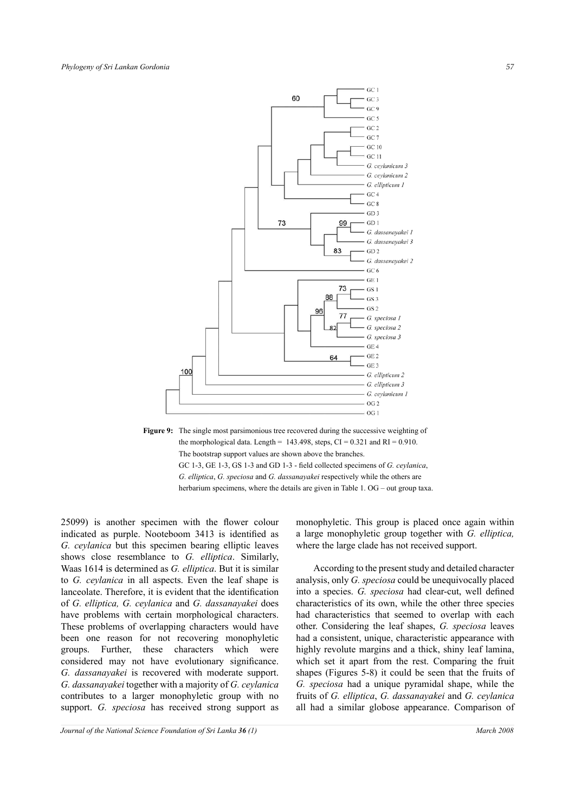





25099) is another specimen with the flower colour indicated as purple. Nooteboom 3413 is identified as *G. ceylanica* but this specimen bearing elliptic leaves shows close resemblance to *G. elliptica*. Similarly, Waas 1614 is determined as *G. elliptica*. But it is similar to *G. ceylanica* in all aspects. Even the leaf shape is lanceolate. Therefore, it is evident that the identification of *G. elliptica, G. ceylanica* and *G. dassanayakei* does have problems with certain morphological characters. These problems of overlapping characters would have been one reason for not recovering monophyletic groups. Further, these characters which were considered may not have evolutionary significance. *G. dassanayakei* is recovered with moderate support. *G. dassanayakei* together with a majority of *G. ceylanica* contributes to a larger monophyletic group with no support. *G. speciosa* has received strong support as monophyletic. This group is placed once again within a large monophyletic group together with *G. elliptica,* where the large clade has not received support.

According to the present study and detailed character analysis, only *G. speciosa* could be unequivocally placed into a species. *G. speciosa* had clear-cut, well defined characteristics of its own, while the other three species had characteristics that seemed to overlap with each other. Considering the leaf shapes, *G. speciosa* leaves had a consistent, unique, characteristic appearance with highly revolute margins and a thick, shiny leaf lamina, which set it apart from the rest. Comparing the fruit shapes (Figures 5-8) it could be seen that the fruits of *G. speciosa* had a unique pyramidal shape, while the fruits of *G. elliptica*, *G. dassanayakei* and *G. ceylanica*  all had a similar globose appearance. Comparison of